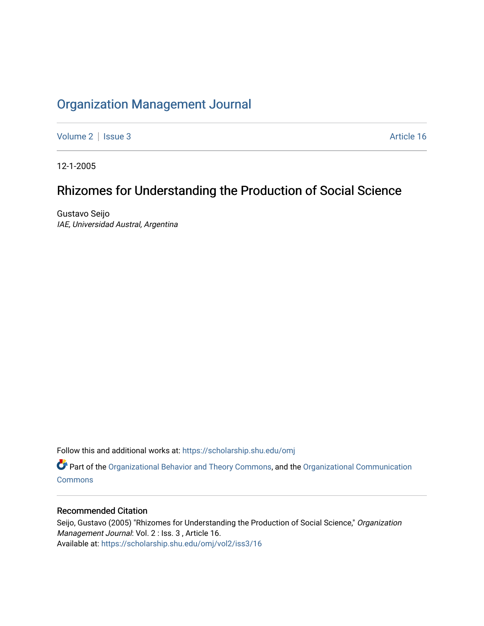# [Organization Management Journal](https://scholarship.shu.edu/omj)

[Volume 2](https://scholarship.shu.edu/omj/vol2) | [Issue 3](https://scholarship.shu.edu/omj/vol2/iss3) Article 16

12-1-2005

# Rhizomes for Understanding the Production of Social Science

Gustavo Seijo IAE, Universidad Austral, Argentina

Follow this and additional works at: [https://scholarship.shu.edu/omj](https://scholarship.shu.edu/omj?utm_source=scholarship.shu.edu%2Fomj%2Fvol2%2Fiss3%2F16&utm_medium=PDF&utm_campaign=PDFCoverPages) 

Part of the [Organizational Behavior and Theory Commons,](http://network.bepress.com/hgg/discipline/639?utm_source=scholarship.shu.edu%2Fomj%2Fvol2%2Fiss3%2F16&utm_medium=PDF&utm_campaign=PDFCoverPages) and the [Organizational Communication](http://network.bepress.com/hgg/discipline/335?utm_source=scholarship.shu.edu%2Fomj%2Fvol2%2Fiss3%2F16&utm_medium=PDF&utm_campaign=PDFCoverPages) **[Commons](http://network.bepress.com/hgg/discipline/335?utm_source=scholarship.shu.edu%2Fomj%2Fvol2%2Fiss3%2F16&utm_medium=PDF&utm_campaign=PDFCoverPages)** 

#### Recommended Citation

Seijo, Gustavo (2005) "Rhizomes for Understanding the Production of Social Science," Organization Management Journal: Vol. 2 : Iss. 3, Article 16. Available at: [https://scholarship.shu.edu/omj/vol2/iss3/16](https://scholarship.shu.edu/omj/vol2/iss3/16?utm_source=scholarship.shu.edu%2Fomj%2Fvol2%2Fiss3%2F16&utm_medium=PDF&utm_campaign=PDFCoverPages)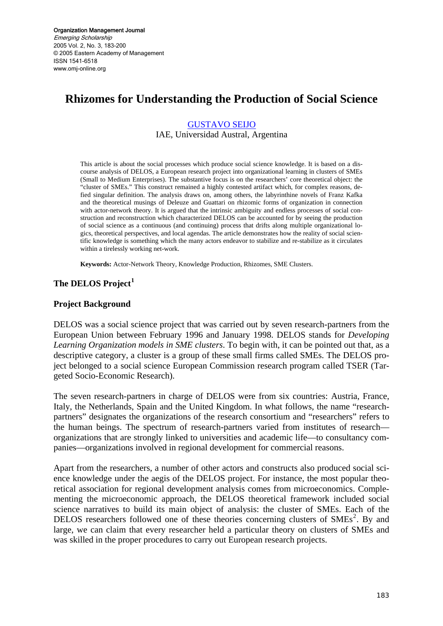Organization Management Journal Emerging Scholarship 2005 Vol. 2, No. 3, 183-200 © 2005 Eastern Academy of Management ISSN 1541-6518 www.omj-online.org

# **Rhizomes for Understanding the Production of Social Science**

#### [GUSTAVO SEIJO](mailto:gseijo@iae.edu.ar) IAE, Universidad Austral, Argentina

This article is about the social processes which produce social science knowledge. It is based on a discourse analysis of DELOS, a European research project into organizational learning in clusters of SMEs (Small to Medium Enterprises). The substantive focus is on the researchers' core theoretical object: the "cluster of SMEs." This construct remained a highly contested artifact which, for complex reasons, defied singular definition. The analysis draws on, among others, the labyrinthine novels of Franz Kafka and the theoretical musings of Deleuze and Guattari on rhizomic forms of organization in connection with actor-network theory. It is argued that the intrinsic ambiguity and endless processes of social construction and reconstruction which characterized DELOS can be accounted for by seeing the production of social science as a continuous (and continuing) process that drifts along multiple organizational logics, theoretical perspectives, and local agendas. The article demonstrates how the reality of social scientific knowledge is something which the many actors endeavor to stabilize and re-stabilize as it circulates within a tirelessly working net-work.

**Keywords:** Actor-Network Theory, Knowledge Production, Rhizomes, SME Clusters.

#### **The DELOS Project[1](#page-18-0)**

#### **Project Background**

DELOS was a social science project that was carried out by seven research-partners from the European Union between February 1996 and January 1998. DELOS stands for *Developing Learning Organization models in SME clusters*. To begin with, it can be pointed out that, as a descriptive category, a cluster is a group of these small firms called SMEs. The DELOS project belonged to a social science European Commission research program called TSER (Targeted Socio-Economic Research).

The seven research-partners in charge of DELOS were from six countries: Austria, France, Italy, the Netherlands, Spain and the United Kingdom. In what follows, the name "researchpartners" designates the organizations of the research consortium and "researchers" refers to the human beings. The spectrum of research-partners varied from institutes of research organizations that are strongly linked to universities and academic life—to consultancy companies—organizations involved in regional development for commercial reasons.

Apart from the researchers, a number of other actors and constructs also produced social science knowledge under the aegis of the DELOS project. For instance, the most popular theoretical association for regional development analysis comes from microeconomics. Complementing the microeconomic approach, the DELOS theoretical framework included social science narratives to build its main object of analysis: the cluster of SMEs. Each of the DELOS researchers followed one of these theories concerning clusters of SMEs<sup>[2](#page-18-1)</sup>. By and large, we can claim that every researcher held a particular theory on clusters of SMEs and was skilled in the proper procedures to carry out European research projects.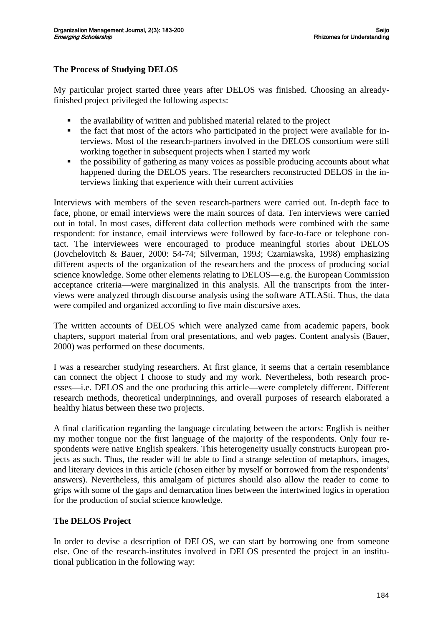#### **The Process of Studying DELOS**

My particular project started three years after DELOS was finished. Choosing an alreadyfinished project privileged the following aspects:

- $\blacksquare$  the availability of written and published material related to the project
- $\blacksquare$  the fact that most of the actors who participated in the project were available for interviews. Most of the research-partners involved in the DELOS consortium were still working together in subsequent projects when I started my work
- $\blacksquare$  the possibility of gathering as many voices as possible producing accounts about what happened during the DELOS years. The researchers reconstructed DELOS in the interviews linking that experience with their current activities

Interviews with members of the seven research-partners were carried out. In-depth face to face, phone, or email interviews were the main sources of data. Ten interviews were carried out in total. In most cases, different data collection methods were combined with the same respondent: for instance, email interviews were followed by face-to-face or telephone contact. The interviewees were encouraged to produce meaningful stories about DELOS (Jovchelovitch & Bauer, 2000: 54-74; Silverman, 1993; Czarniawska, 1998) emphasizing different aspects of the organization of the researchers and the process of producing social science knowledge. Some other elements relating to DELOS—e.g. the European Commission acceptance criteria—were marginalized in this analysis. All the transcripts from the interviews were analyzed through discourse analysis using the software ATLASti. Thus, the data were compiled and organized according to five main discursive axes.

The written accounts of DELOS which were analyzed came from academic papers, book chapters, support material from oral presentations, and web pages. Content analysis (Bauer, 2000) was performed on these documents.

I was a researcher studying researchers. At first glance, it seems that a certain resemblance can connect the object I choose to study and my work. Nevertheless, both research processes—i.e. DELOS and the one producing this article—were completely different. Different research methods, theoretical underpinnings, and overall purposes of research elaborated a healthy hiatus between these two projects.

A final clarification regarding the language circulating between the actors: English is neither my mother tongue nor the first language of the majority of the respondents. Only four respondents were native English speakers. This heterogeneity usually constructs European projects as such. Thus, the reader will be able to find a strange selection of metaphors, images, and literary devices in this article (chosen either by myself or borrowed from the respondents' answers). Nevertheless, this amalgam of pictures should also allow the reader to come to grips with some of the gaps and demarcation lines between the intertwined logics in operation for the production of social science knowledge.

#### **The DELOS Project**

In order to devise a description of DELOS, we can start by borrowing one from someone else. One of the research-institutes involved in DELOS presented the project in an institutional publication in the following way: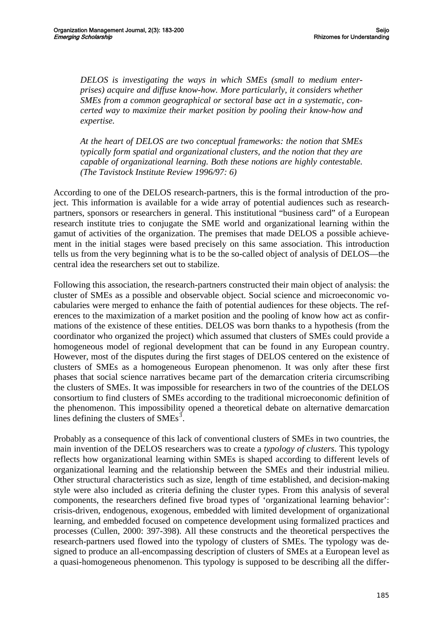*DELOS is investigating the ways in which SMEs (small to medium enterprises) acquire and diffuse know-how. More particularly, it considers whether SMEs from a common geographical or sectoral base act in a systematic, concerted way to maximize their market position by pooling their know-how and expertise.* 

*At the heart of DELOS are two conceptual frameworks: the notion that SMEs typically form spatial and organizational clusters, and the notion that they are capable of organizational learning. Both these notions are highly contestable. (The Tavistock Institute Review 1996/97: 6)* 

According to one of the DELOS research-partners, this is the formal introduction of the project. This information is available for a wide array of potential audiences such as researchpartners, sponsors or researchers in general. This institutional "business card" of a European research institute tries to conjugate the SME world and organizational learning within the gamut of activities of the organization. The premises that made DELOS a possible achievement in the initial stages were based precisely on this same association. This introduction tells us from the very beginning what is to be the so-called object of analysis of DELOS—the central idea the researchers set out to stabilize.

Following this association, the research-partners constructed their main object of analysis: the cluster of SMEs as a possible and observable object. Social science and microeconomic vocabularies were merged to enhance the faith of potential audiences for these objects. The references to the maximization of a market position and the pooling of know how act as confirmations of the existence of these entities. DELOS was born thanks to a hypothesis (from the coordinator who organized the project) which assumed that clusters of SMEs could provide a homogeneous model of regional development that can be found in any European country. However, most of the disputes during the first stages of DELOS centered on the existence of clusters of SMEs as a homogeneous European phenomenon. It was only after these first phases that social science narratives became part of the demarcation criteria circumscribing the clusters of SMEs. It was impossible for researchers in two of the countries of the DELOS consortium to find clusters of SMEs according to the traditional microeconomic definition of the phenomenon. This impossibility opened a theoretical debate on alternative demarcation lines defining the clusters of  $SMEs<sup>3</sup>$  $SMEs<sup>3</sup>$  $SMEs<sup>3</sup>$ .

Probably as a consequence of this lack of conventional clusters of SMEs in two countries, the main invention of the DELOS researchers was to create a *typology of clusters*. This typology reflects how organizational learning within SMEs is shaped according to different levels of organizational learning and the relationship between the SMEs and their industrial milieu. Other structural characteristics such as size, length of time established, and decision-making style were also included as criteria defining the cluster types. From this analysis of several components, the researchers defined five broad types of 'organizational learning behavior': crisis-driven, endogenous, exogenous, embedded with limited development of organizational learning, and embedded focused on competence development using formalized practices and processes (Cullen, 2000: 397-398). All these constructs and the theoretical perspectives the research-partners used flowed into the typology of clusters of SMEs. The typology was designed to produce an all-encompassing description of clusters of SMEs at a European level as a quasi-homogeneous phenomenon. This typology is supposed to be describing all the differ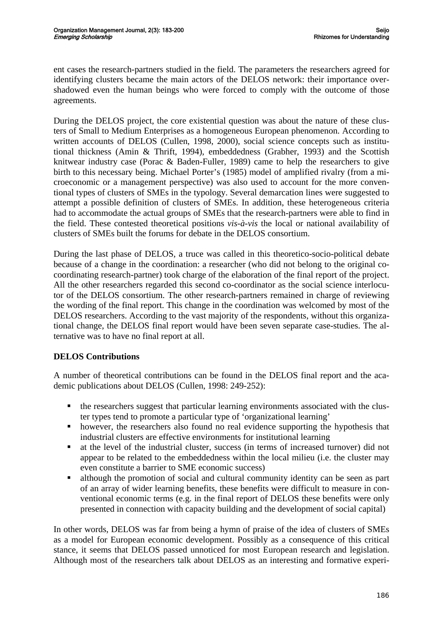ent cases the research-partners studied in the field. The parameters the researchers agreed for identifying clusters became the main actors of the DELOS network: their importance overshadowed even the human beings who were forced to comply with the outcome of those agreements.

During the DELOS project, the core existential question was about the nature of these clusters of Small to Medium Enterprises as a homogeneous European phenomenon. According to written accounts of DELOS (Cullen, 1998, 2000), social science concepts such as institutional thickness (Amin & Thrift, 1994), embeddedness (Grabher, 1993) and the Scottish knitwear industry case (Porac & Baden-Fuller, 1989) came to help the researchers to give birth to this necessary being. Michael Porter's (1985) model of amplified rivalry (from a microeconomic or a management perspective) was also used to account for the more conventional types of clusters of SMEs in the typology. Several demarcation lines were suggested to attempt a possible definition of clusters of SMEs. In addition, these heterogeneous criteria had to accommodate the actual groups of SMEs that the research-partners were able to find in the field. These contested theoretical positions *vis-à-vis* the local or national availability of clusters of SMEs built the forums for debate in the DELOS consortium.

During the last phase of DELOS, a truce was called in this theoretico-socio-political debate because of a change in the coordination: a researcher (who did not belong to the original cocoordinating research-partner) took charge of the elaboration of the final report of the project. All the other researchers regarded this second co-coordinator as the social science interlocutor of the DELOS consortium. The other research-partners remained in charge of reviewing the wording of the final report. This change in the coordination was welcomed by most of the DELOS researchers. According to the vast majority of the respondents, without this organizational change, the DELOS final report would have been seven separate case-studies. The alternative was to have no final report at all.

#### **DELOS Contributions**

A number of theoretical contributions can be found in the DELOS final report and the academic publications about DELOS (Cullen, 1998: 249-252):

- the researchers suggest that particular learning environments associated with the cluster types tend to promote a particular type of 'organizational learning'
- however, the researchers also found no real evidence supporting the hypothesis that industrial clusters are effective environments for institutional learning
- at the level of the industrial cluster, success (in terms of increased turnover) did not appear to be related to the embeddedness within the local milieu (i.e. the cluster may even constitute a barrier to SME economic success)
- although the promotion of social and cultural community identity can be seen as part of an array of wider learning benefits, these benefits were difficult to measure in conventional economic terms (e.g. in the final report of DELOS these benefits were only presented in connection with capacity building and the development of social capital)

In other words, DELOS was far from being a hymn of praise of the idea of clusters of SMEs as a model for European economic development. Possibly as a consequence of this critical stance, it seems that DELOS passed unnoticed for most European research and legislation. Although most of the researchers talk about DELOS as an interesting and formative experi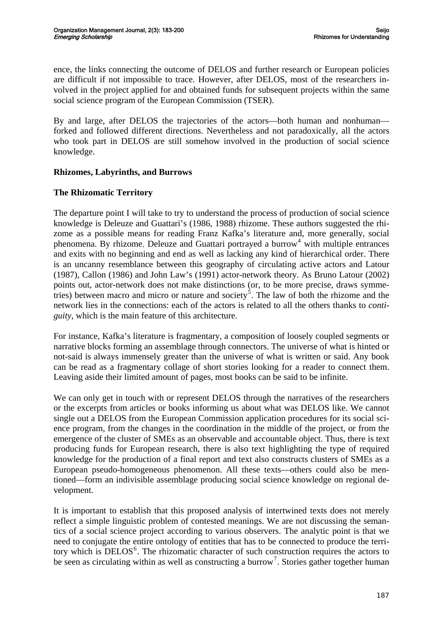ence, the links connecting the outcome of DELOS and further research or European policies are difficult if not impossible to trace. However, after DELOS, most of the researchers involved in the project applied for and obtained funds for subsequent projects within the same social science program of the European Commission (TSER).

By and large, after DELOS the trajectories of the actors—both human and nonhuman forked and followed different directions. Nevertheless and not paradoxically, all the actors who took part in DELOS are still somehow involved in the production of social science knowledge.

# **Rhizomes, Labyrinths, and Burrows**

# **The Rhizomatic Territory**

The departure point I will take to try to understand the process of production of social science knowledge is Deleuze and Guattari's (1986, 1988) rhizome. These authors suggested the rhizome as a possible means for reading Franz Kafka's literature and, more generally, social phenomena. By rhizome, Deleuze and Guattari portrayed a burrow<sup>[4](#page-18-1)</sup> with multiple entrances and exits with no beginning and end as well as lacking any kind of hierarchical order. There is an uncanny resemblance between this geography of circulating active actors and Latour (1987), Callon (1986) and John Law's (1991) actor-network theory. As Bruno Latour (2002) points out, actor-network does not make distinctions (or, to be more precise, draws symme-tries) between macro and micro or nature and society<sup>[5](#page-18-1)</sup>. The law of both the rhizome and the network lies in the connections: each of the actors is related to all the others thanks to *contiguity*, which is the main feature of this architecture.

For instance, Kafka's literature is fragmentary, a composition of loosely coupled segments or narrative blocks forming an assemblage through connectors. The universe of what is hinted or not-said is always immensely greater than the universe of what is written or said. Any book can be read as a fragmentary collage of short stories looking for a reader to connect them. Leaving aside their limited amount of pages, most books can be said to be infinite.

We can only get in touch with or represent DELOS through the narratives of the researchers or the excerpts from articles or books informing us about what was DELOS like. We cannot single out a DELOS from the European Commission application procedures for its social science program, from the changes in the coordination in the middle of the project, or from the emergence of the cluster of SMEs as an observable and accountable object. Thus, there is text producing funds for European research, there is also text highlighting the type of required knowledge for the production of a final report and text also constructs clusters of SMEs as a European pseudo-homogeneous phenomenon. All these texts—others could also be mentioned—form an indivisible assemblage producing social science knowledge on regional development.

It is important to establish that this proposed analysis of intertwined texts does not merely reflect a simple linguistic problem of contested meanings. We are not discussing the semantics of a social science project according to various observers. The analytic point is that we need to conjugate the entire ontology of entities that has to be connected to produce the territory which is  $DELOS<sup>6</sup>$  $DELOS<sup>6</sup>$  $DELOS<sup>6</sup>$ . The rhizomatic character of such construction requires the actors to be seen as circulating within as well as constructing a burrow<sup>[7](#page-18-1)</sup>. Stories gather together human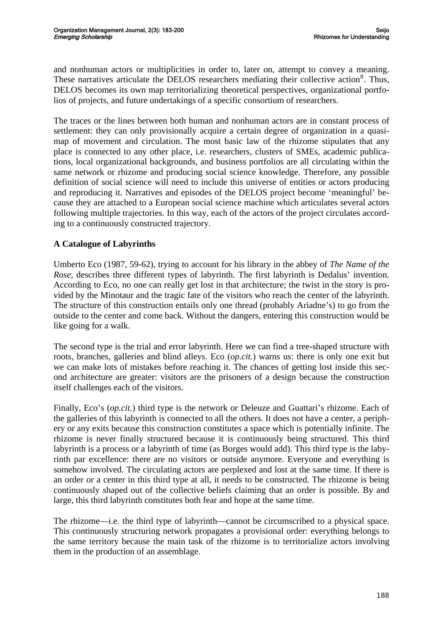and nonhuman actors or multiplicities in order to, later on, attempt to convey a meaning. These narratives articulate the DELOS researchers mediating their collective action<sup>[8](#page-18-1)</sup>. Thus, DELOS becomes its own map territorializing theoretical perspectives, organizational portfolios of projects, and future undertakings of a specific consortium of researchers.

The traces or the lines between both human and nonhuman actors are in constant process of settlement: they can only provisionally acquire a certain degree of organization in a quasimap of movement and circulation. The most basic law of the rhizome stipulates that any place is connected to any other place, i.e. researchers, clusters of SMEs, academic publications, local organizational backgrounds, and business portfolios are all circulating within the same network or rhizome and producing social science knowledge. Therefore, any possible definition of social science will need to include this universe of entities or actors producing and reproducing it. Narratives and episodes of the DELOS project become 'meaningful' because they are attached to a European social science machine which articulates several actors following multiple trajectories. In this way, each of the actors of the project circulates according to a continuously constructed trajectory.

# **A Catalogue of Labyrinths**

Umberto Eco (1987, 59-62), trying to account for his library in the abbey of *The Name of the Rose*, describes three different types of labyrinth. The first labyrinth is Dedalus' invention. According to Eco, no one can really get lost in that architecture; the twist in the story is provided by the Minotaur and the tragic fate of the visitors who reach the center of the labyrinth. The structure of this construction entails only one thread (probably Ariadne's) to go from the outside to the center and come back. Without the dangers, entering this construction would be like going for a walk.

The second type is the trial and error labyrinth. Here we can find a tree-shaped structure with roots, branches, galleries and blind alleys. Eco (*op.cit.*) warns us: there is only one exit but we can make lots of mistakes before reaching it. The chances of getting lost inside this second architecture are greater: visitors are the prisoners of a design because the construction itself challenges each of the visitors.

Finally, Eco's (*op.cit.*) third type is the network or Deleuze and Guattari's rhizome. Each of the galleries of this labyrinth is connected to all the others. It does not have a center, a periphery or any exits because this construction constitutes a space which is potentially infinite. The rhizome is never finally structured because it is continuously being structured. This third labyrinth is a process or a labyrinth of time (as Borges would add). This third type is the labyrinth par excellence: there are no visitors or outside anymore. Everyone and everything is somehow involved. The circulating actors are perplexed and lost at the same time. If there is an order or a center in this third type at all, it needs to be constructed. The rhizome is being continuously shaped out of the collective beliefs claiming that an order is possible. By and large, this third labyrinth constitutes both fear and hope at the same time.

The rhizome—i.e. the third type of labyrinth—cannot be circumscribed to a physical space. This continuously structuring network propagates a provisional order: everything belongs to the same territory because the main task of the rhizome is to territorialize actors involving them in the production of an assemblage.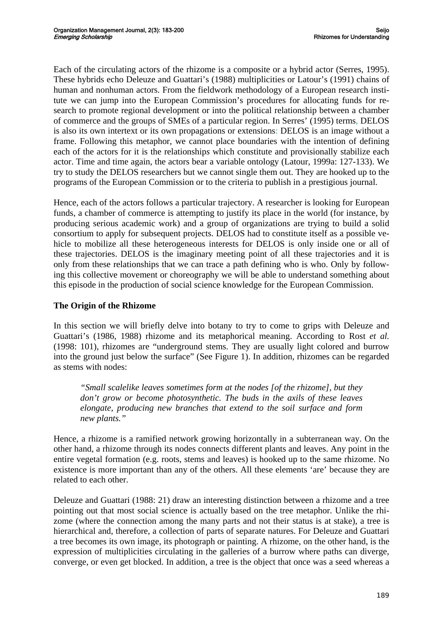Each of the circulating actors of the rhizome is a composite or a hybrid actor (Serres, 1995). These hybrids echo Deleuze and Guattari's (1988) multiplicities or Latour's (1991) chains of human and nonhuman actors. From the fieldwork methodology of a European research institute we can jump into the European Commission's procedures for allocating funds for research to promote regional development or into the political relationship between a chamber of commerce and the groups of SMEs of a particular region. In Serres' (1995) terms, DELOS is also its own intertext or its own propagations or extensions: DELOS is an image without a frame. Following this metaphor, we cannot place boundaries with the intention of defining each of the actors for it is the relationship*s* which constitute and provisionally stabilize each actor. Time and time again, the actors bear a variable ontology (Latour, 1999a: 127-133). We try to study the DELOS researchers but we cannot single them out. They are hooked up to the programs of the European Commission or to the criteria to publish in a prestigious journal.

Hence, each of the actors follows a particular trajectory. A researcher is looking for European funds, a chamber of commerce is attempting to justify its place in the world (for instance, by producing serious academic work) and a group of organizations are trying to build a solid consortium to apply for subsequent projects. DELOS had to constitute itself as a possible vehicle to mobilize all these heterogeneous interests for DELOS is only inside one or all of these trajectories. DELOS is the imaginary meeting point of all these trajectories and it is only from these relationships that we can trace a path defining who is who. Only by following this collective movement or choreography we will be able to understand something about this episode in the production of social science knowledge for the European Commission.

#### **The Origin of the Rhizome**

In this section we will briefly delve into botany to try to come to grips with Deleuze and Guattari's (1986, 1988) rhizome and its metaphorical meaning. According to Rost *et al.* (1998: 101), rhizomes are "underground stems. They are usually light colored and burrow into the ground just below the surface" (See Figure 1). In addition, rhizomes can be regarded as stems with nodes:

*"Small scalelike leaves sometimes form at the nodes [of the rhizome], but they don't grow or become photosynthetic. The buds in the axils of these leaves elongate, producing new branches that extend to the soil surface and form new plants."* 

Hence, a rhizome is a ramified network growing horizontally in a subterranean way. On the other hand, a rhizome through its nodes connects different plants and leaves. Any point in the entire vegetal formation (e.g. roots, stems and leaves) is hooked up to the same rhizome. No existence is more important than any of the others. All these elements 'are' because they are related to each other.

Deleuze and Guattari (1988: 21) draw an interesting distinction between a rhizome and a tree pointing out that most social science is actually based on the tree metaphor. Unlike the rhizome (where the connection among the many parts and not their status is at stake), a tree is hierarchical and, therefore, a collection of parts of separate natures. For Deleuze and Guattari a tree becomes its own image, its photograph or painting. A rhizome, on the other hand, is the expression of multiplicities circulating in the galleries of a burrow where paths can diverge, converge, or even get blocked. In addition, a tree is the object that once was a seed whereas a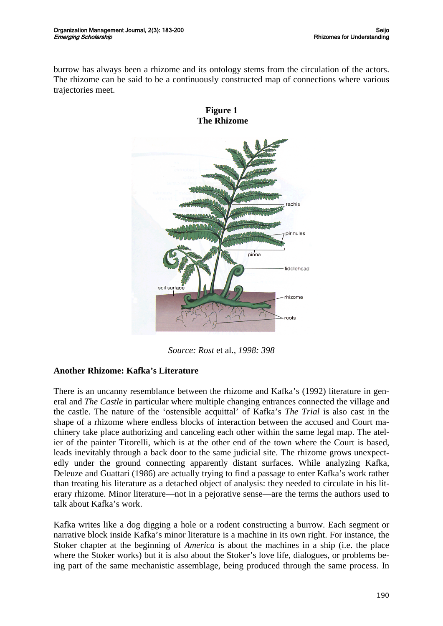burrow has always been a rhizome and its ontology stems from the circulation of the actors. The rhizome can be said to be a continuously constructed map of connections where various trajectories meet.



*Source: Rost* et al.*, 1998: 398* 

#### **Another Rhizome: Kafka's Literature**

There is an uncanny resemblance between the rhizome and Kafka's (1992) literature in general and *The Castle* in particular where multiple changing entrances connected the village and the castle. The nature of the 'ostensible acquittal' of Kafka's *The Trial* is also cast in the shape of a rhizome where endless blocks of interaction between the accused and Court machinery take place authorizing and canceling each other within the same legal map. The atelier of the painter Titorelli, which is at the other end of the town where the Court is based, leads inevitably through a back door to the same judicial site. The rhizome grows unexpectedly under the ground connecting apparently distant surfaces. While analyzing Kafka, Deleuze and Guattari (1986) are actually trying to find a passage to enter Kafka's work rather than treating his literature as a detached object of analysis: they needed to circulate in his literary rhizome. Minor literature—not in a pejorative sense—are the terms the authors used to talk about Kafka's work.

Kafka writes like a dog digging a hole or a rodent constructing a burrow. Each segment or narrative block inside Kafka's minor literature is a machine in its own right. For instance, the Stoker chapter at the beginning of *America* is about the machines in a ship (i.e. the place where the Stoker works) but it is also about the Stoker's love life, dialogues, or problems being part of the same mechanistic assemblage, being produced through the same process. In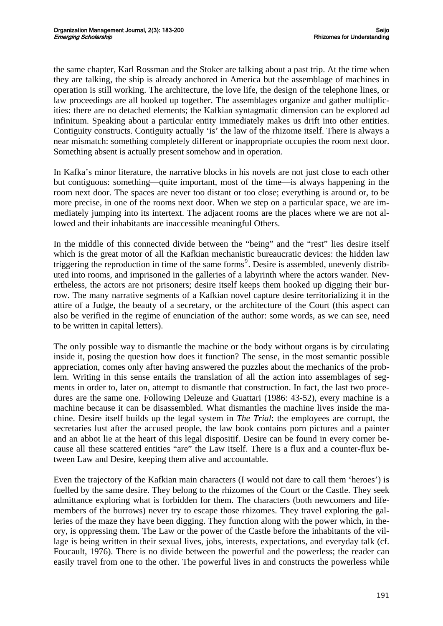the same chapter, Karl Rossman and the Stoker are talking about a past trip. At the time when they are talking, the ship is already anchored in America but the assemblage of machines in operation is still working. The architecture, the love life, the design of the telephone lines, or law proceedings are all hooked up together. The assemblages organize and gather multiplicities: there are no detached elements; the Kafkian syntagmatic dimension can be explored ad infinitum. Speaking about a particular entity immediately makes us drift into other entities. Contiguity constructs. Contiguity actually 'is' the law of the rhizome itself. There is always a near mismatch: something completely different or inappropriate occupies the room next door. Something absent is actually present somehow and in operation.

In Kafka's minor literature, the narrative blocks in his novels are not just close to each other but contiguous: something—quite important, most of the time—is always happening in the room next door. The spaces are never too distant or too close; everything is around or, to be more precise, in one of the rooms next door. When we step on a particular space, we are immediately jumping into its intertext. The adjacent rooms are the places where we are not allowed and their inhabitants are inaccessible meaningful Others.

In the middle of this connected divide between the "being" and the "rest" lies desire itself which is the great motor of all the Kafkian mechanistic bureaucratic devices: the hidden law triggering the reproduction in time of the same forms<sup>[9](#page-18-1)</sup>. Desire is assembled, unevenly distributed into rooms, and imprisoned in the galleries of a labyrinth where the actors wander. Nevertheless, the actors are not prisoners; desire itself keeps them hooked up digging their burrow. The many narrative segments of a Kafkian novel capture desire territorializing it in the attire of a Judge, the beauty of a secretary, or the architecture of the Court (this aspect can also be verified in the regime of enunciation of the author: some words, as we can see, need to be written in capital letters).

The only possible way to dismantle the machine or the body without organs is by circulating inside it, posing the question how does it function? The sense, in the most semantic possible appreciation, comes only after having answered the puzzles about the mechanics of the problem. Writing in this sense entails the translation of all the action into assemblages of segments in order to, later on, attempt to dismantle that construction. In fact, the last two procedures are the same one. Following Deleuze and Guattari (1986: 43-52), every machine is a machine because it can be disassembled. What dismantles the machine lives inside the machine. Desire itself builds up the legal system in *The Trial*: the employees are corrupt, the secretaries lust after the accused people, the law book contains porn pictures and a painter and an abbot lie at the heart of this legal dispositif. Desire can be found in every corner because all these scattered entities "are" the Law itself. There is a flux and a counter-flux between Law and Desire, keeping them alive and accountable.

Even the trajectory of the Kafkian main characters (I would not dare to call them 'heroes') is fuelled by the same desire. They belong to the rhizomes of the Court or the Castle. They seek admittance exploring what is forbidden for them. The characters (both newcomers and lifemembers of the burrows) never try to escape those rhizomes. They travel exploring the galleries of the maze they have been digging. They function along with the power which, in theory, is oppressing them. The Law or the power of the Castle before the inhabitants of the village is being written in their sexual lives, jobs, interests, expectations, and everyday talk (cf. Foucault, 1976). There is no divide between the powerful and the powerless; the reader can easily travel from one to the other. The powerful lives in and constructs the powerless while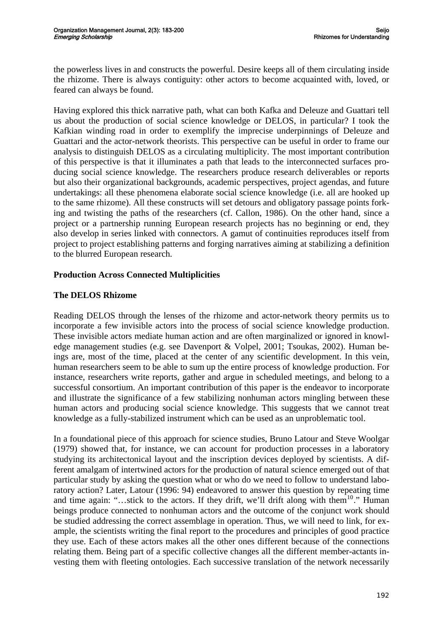the powerless lives in and constructs the powerful. Desire keeps all of them circulating inside the rhizome. There is always contiguity: other actors to become acquainted with, loved, or feared can always be found.

Having explored this thick narrative path, what can both Kafka and Deleuze and Guattari tell us about the production of social science knowledge or DELOS, in particular? I took the Kafkian winding road in order to exemplify the imprecise underpinnings of Deleuze and Guattari and the actor-network theorists. This perspective can be useful in order to frame our analysis to distinguish DELOS as a circulating multiplicity. The most important contribution of this perspective is that it illuminates a path that leads to the interconnected surfaces producing social science knowledge. The researchers produce research deliverables or reports but also their organizational backgrounds, academic perspectives, project agendas, and future undertakings: all these phenomena elaborate social science knowledge (i.e. all are hooked up to the same rhizome). All these constructs will set detours and obligatory passage points forking and twisting the paths of the researchers (cf. Callon, 1986). On the other hand, since a project or a partnership running European research projects has no beginning or end, they also develop in series linked with connectors. A gamut of continuities reproduces itself from project to project establishing patterns and forging narratives aiming at stabilizing a definition to the blurred European research.

# **Production Across Connected Multiplicities**

# **The DELOS Rhizome**

Reading DELOS through the lenses of the rhizome and actor-network theory permits us to incorporate a few invisible actors into the process of social science knowledge production. These invisible actors mediate human action and are often marginalized or ignored in knowledge management studies (e.g. see Davenport & Volpel, 2001; Tsoukas, 2002). Human beings are, most of the time, placed at the center of any scientific development. In this vein, human researchers seem to be able to sum up the entire process of knowledge production. For instance, researchers write reports, gather and argue in scheduled meetings, and belong to a successful consortium. An important contribution of this paper is the endeavor to incorporate and illustrate the significance of a few stabilizing nonhuman actors mingling between these human actors and producing social science knowledge. This suggests that we cannot treat knowledge as a fully-stabilized instrument which can be used as an unproblematic tool.

In a foundational piece of this approach for science studies, Bruno Latour and Steve Woolgar (1979) showed that, for instance, we can account for production processes in a laboratory studying its architectonical layout and the inscription devices deployed by scientists. A different amalgam of intertwined actors for the production of natural science emerged out of that particular study by asking the question what or who do we need to follow to understand laboratory action? Later, Latour (1996: 94) endeavored to answer this question by repeating time and time again: "...stick to the actors. If they drift, we'll drift along with them<sup>[10](#page-18-1)</sup>." Human beings produce connected to nonhuman actors and the outcome of the conjunct work should be studied addressing the correct assemblage in operation. Thus, we will need to link, for example, the scientists writing the final report to the procedures and principles of good practice they use. Each of these actors makes all the other ones different because of the connections relating them. Being part of a specific collective changes all the different member-actants investing them with fleeting ontologies. Each successive translation of the network necessarily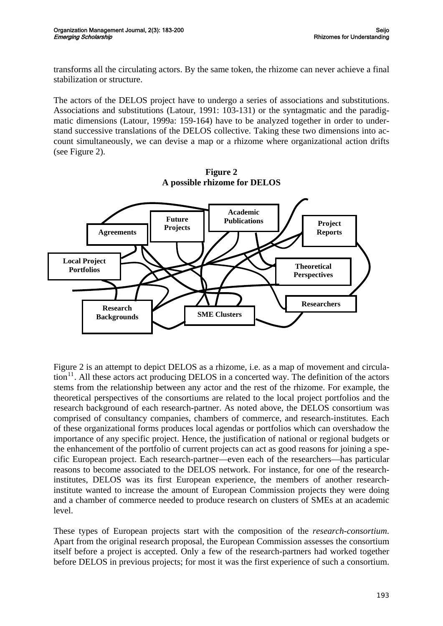transforms all the circulating actors. By the same token, the rhizome can never achieve a final stabilization or structure.

The actors of the DELOS project have to undergo a series of associations and substitutions. Associations and substitutions (Latour, 1991: 103-131) or the syntagmatic and the paradigmatic dimensions (Latour, 1999a: 159-164) have to be analyzed together in order to understand successive translations of the DELOS collective. Taking these two dimensions into account simultaneously, we can devise a map or a rhizome where organizational action drifts (see Figure 2).



**Figure 2 A possible rhizome for DELOS**

Figure 2 is an attempt to depict DELOS as a rhizome, i.e. as a map of movement and circula- $\chi$  tion<sup>[11](#page-18-1)</sup>. All these actors act producing DELOS in a concerted way. The definition of the actors stems from the relationship between any actor and the rest of the rhizome. For example, the theoretical perspectives of the consortiums are related to the local project portfolios and the research background of each research-partner. As noted above, the DELOS consortium was comprised of consultancy companies, chambers of commerce, and research-institutes. Each of these organizational forms produces local agendas or portfolios which can overshadow the importance of any specific project. Hence, the justification of national or regional budgets or the enhancement of the portfolio of current projects can act as good reasons for joining a specific European project. Each research-partner—even each of the researchers—has particular reasons to become associated to the DELOS network. For instance, for one of the researchinstitutes, DELOS was its first European experience, the members of another researchinstitute wanted to increase the amount of European Commission projects they were doing and a chamber of commerce needed to produce research on clusters of SMEs at an academic level.

These types of European projects start with the composition of the *research-consortium*. Apart from the original research proposal, the European Commission assesses the consortium itself before a project is accepted. Only a few of the research-partners had worked together before DELOS in previous projects; for most it was the first experience of such a consortium.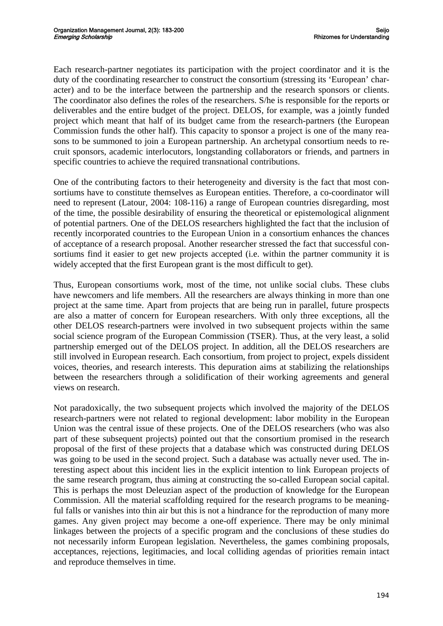Each research-partner negotiates its participation with the project coordinator and it is the duty of the coordinating researcher to construct the consortium (stressing its 'European' character) and to be the interface between the partnership and the research sponsors or clients. The coordinator also defines the roles of the researchers. S/he is responsible for the reports or deliverables and the entire budget of the project. DELOS, for example, was a jointly funded project which meant that half of its budget came from the research-partners (the European Commission funds the other half). This capacity to sponsor a project is one of the many reasons to be summoned to join a European partnership. An archetypal consortium needs to recruit sponsors, academic interlocutors, longstanding collaborators or friends, and partners in specific countries to achieve the required transnational contributions.

One of the contributing factors to their heterogeneity and diversity is the fact that most consortiums have to constitute themselves as European entities. Therefore, a co-coordinator will need to represent (Latour, 2004: 108-116) a range of European countries disregarding, most of the time, the possible desirability of ensuring the theoretical or epistemological alignment of potential partners. One of the DELOS researchers highlighted the fact that the inclusion of recently incorporated countries to the European Union in a consortium enhances the chances of acceptance of a research proposal. Another researcher stressed the fact that successful consortiums find it easier to get new projects accepted (i.e. within the partner community it is widely accepted that the first European grant is the most difficult to get).

Thus, European consortiums work, most of the time, not unlike social clubs. These clubs have newcomers and life members. All the researchers are always thinking in more than one project at the same time. Apart from projects that are being run in parallel, future prospects are also a matter of concern for European researchers. With only three exceptions, all the other DELOS research-partners were involved in two subsequent projects within the same social science program of the European Commission (TSER). Thus, at the very least, a solid partnership emerged out of the DELOS project. In addition, all the DELOS researchers are still involved in European research. Each consortium, from project to project, expels dissident voices, theories, and research interests. This depuration aims at stabilizing the relationships between the researchers through a solidification of their working agreements and general views on research.

Not paradoxically, the two subsequent projects which involved the majority of the DELOS research-partners were not related to regional development: labor mobility in the European Union was the central issue of these projects. One of the DELOS researchers (who was also part of these subsequent projects) pointed out that the consortium promised in the research proposal of the first of these projects that a database which was constructed during DELOS was going to be used in the second project. Such a database was actually never used. The interesting aspect about this incident lies in the explicit intention to link European projects of the same research program, thus aiming at constructing the so-called European social capital. This is perhaps the most Deleuzian aspect of the production of knowledge for the European Commission. All the material scaffolding required for the research programs to be meaningful falls or vanishes into thin air but this is not a hindrance for the reproduction of many more games. Any given project may become a one-off experience. There may be only minimal linkages between the projects of a specific program and the conclusions of these studies do not necessarily inform European legislation. Nevertheless, the games combining proposals, acceptances, rejections, legitimacies, and local colliding agendas of priorities remain intact and reproduce themselves in time.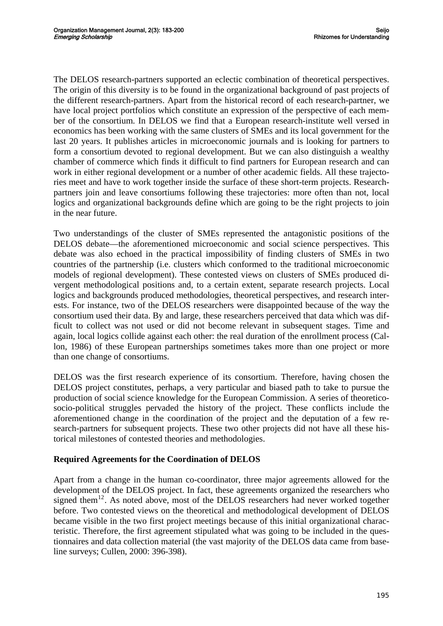The DELOS research-partners supported an eclectic combination of theoretical perspectives. The origin of this diversity is to be found in the organizational background of past projects of the different research-partners. Apart from the historical record of each research-partner, we have local project portfolios which constitute an expression of the perspective of each member of the consortium. In DELOS we find that a European research-institute well versed in economics has been working with the same clusters of SMEs and its local government for the last 20 years. It publishes articles in microeconomic journals and is looking for partners to form a consortium devoted to regional development. But we can also distinguish a wealthy chamber of commerce which finds it difficult to find partners for European research and can work in either regional development or a number of other academic fields. All these trajectories meet and have to work together inside the surface of these short-term projects. Researchpartners join and leave consortiums following these trajectories: more often than not, local logics and organizational backgrounds define which are going to be the right projects to join in the near future.

Two understandings of the cluster of SMEs represented the antagonistic positions of the DELOS debate—the aforementioned microeconomic and social science perspectives. This debate was also echoed in the practical impossibility of finding clusters of SMEs in two countries of the partnership (i.e. clusters which conformed to the traditional microeconomic models of regional development). These contested views on clusters of SMEs produced divergent methodological positions and, to a certain extent, separate research projects. Local logics and backgrounds produced methodologies, theoretical perspectives, and research interests. For instance, two of the DELOS researchers were disappointed because of the way the consortium used their data. By and large, these researchers perceived that data which was difficult to collect was not used or did not become relevant in subsequent stages. Time and again, local logics collide against each other: the real duration of the enrollment process (Callon, 1986) of these European partnerships sometimes takes more than one project or more than one change of consortiums.

DELOS was the first research experience of its consortium. Therefore, having chosen the DELOS project constitutes, perhaps, a very particular and biased path to take to pursue the production of social science knowledge for the European Commission. A series of theoreticosocio-political struggles pervaded the history of the project. These conflicts include the aforementioned change in the coordination of the project and the deputation of a few research-partners for subsequent projects. These two other projects did not have all these historical milestones of contested theories and methodologies.

# **Required Agreements for the Coordination of DELOS**

Apart from a change in the human co-coordinator, three major agreements allowed for the development of the DELOS project. In fact, these agreements organized the researchers who signed them<sup>[12](#page-18-1)</sup>. As noted above, most of the DELOS researchers had never worked together before. Two contested views on the theoretical and methodological development of DELOS became visible in the two first project meetings because of this initial organizational characteristic. Therefore, the first agreement stipulated what was going to be included in the questionnaires and data collection material (the vast majority of the DELOS data came from baseline surveys; Cullen, 2000: 396-398).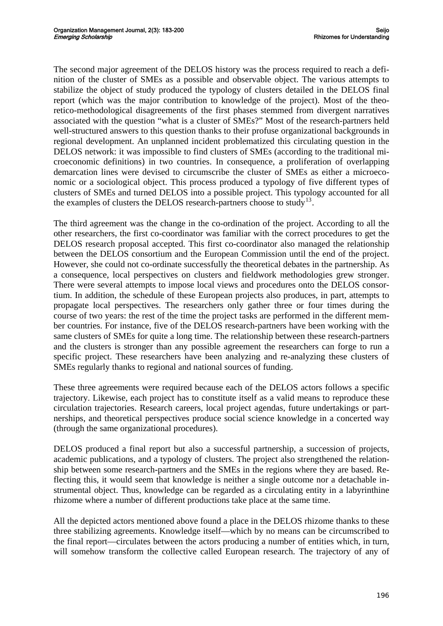The second major agreement of the DELOS history was the process required to reach a definition of the cluster of SMEs as a possible and observable object. The various attempts to stabilize the object of study produced the typology of clusters detailed in the DELOS final report (which was the major contribution to knowledge of the project). Most of the theoretico-methodological disagreements of the first phases stemmed from divergent narratives associated with the question "what is a cluster of SMEs?" Most of the research-partners held well-structured answers to this question thanks to their profuse organizational backgrounds in regional development. An unplanned incident problematized this circulating question in the DELOS network: it was impossible to find clusters of SMEs (according to the traditional microeconomic definitions) in two countries. In consequence, a proliferation of overlapping demarcation lines were devised to circumscribe the cluster of SMEs as either a microeconomic or a sociological object. This process produced a typology of five different types of clusters of SMEs and turned DELOS into a possible project. This typology accounted for all the examples of clusters the DELOS research-partners choose to study<sup>[13](#page-18-1)</sup>.

The third agreement was the change in the co-ordination of the project. According to all the other researchers, the first co-coordinator was familiar with the correct procedures to get the DELOS research proposal accepted. This first co-coordinator also managed the relationship between the DELOS consortium and the European Commission until the end of the project. However, she could not co-ordinate successfully the theoretical debates in the partnership. As a consequence, local perspectives on clusters and fieldwork methodologies grew stronger. There were several attempts to impose local views and procedures onto the DELOS consortium. In addition, the schedule of these European projects also produces, in part, attempts to propagate local perspectives. The researchers only gather three or four times during the course of two years: the rest of the time the project tasks are performed in the different member countries. For instance, five of the DELOS research-partners have been working with the same clusters of SMEs for quite a long time. The relationship between these research-partners and the clusters is stronger than any possible agreement the researchers can forge to run a specific project. These researchers have been analyzing and re-analyzing these clusters of SMEs regularly thanks to regional and national sources of funding.

These three agreements were required because each of the DELOS actors follows a specific trajectory. Likewise, each project has to constitute itself as a valid means to reproduce these circulation trajectories. Research careers, local project agendas, future undertakings or partnerships, and theoretical perspectives produce social science knowledge in a concerted way (through the same organizational procedures).

DELOS produced a final report but also a successful partnership, a succession of projects, academic publications, and a typology of clusters. The project also strengthened the relationship between some research-partners and the SMEs in the regions where they are based. Reflecting this, it would seem that knowledge is neither a single outcome nor a detachable instrumental object. Thus, knowledge can be regarded as a circulating entity in a labyrinthine rhizome where a number of different productions take place at the same time.

All the depicted actors mentioned above found a place in the DELOS rhizome thanks to these three stabilizing agreements. Knowledge itself—which by no means can be circumscribed to the final report—circulates between the actors producing a number of entities which, in turn, will somehow transform the collective called European research. The trajectory of any of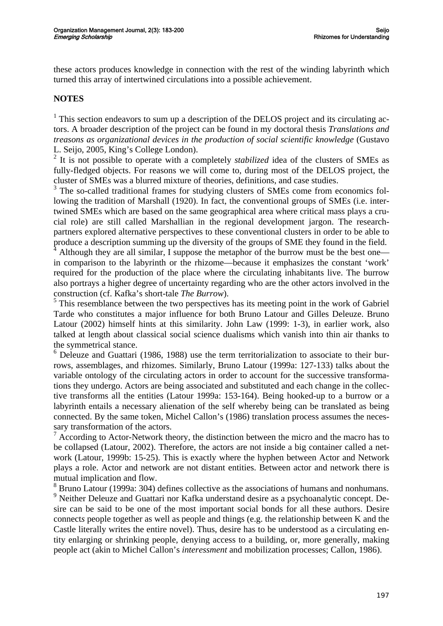these actors produces knowledge in connection with the rest of the winding labyrinth which turned this array of intertwined circulations into a possible achievement.

# **NOTES**

 $<sup>1</sup>$  This section endeavors to sum up a description of the DELOS project and its circulating ac-</sup> tors. A broader description of the project can be found in my doctoral thesis *Translations and treasons as organizational devices in the production of social scientific knowledge* (Gustavo L. Seijo, 2005, King's College London).

<sup>2</sup> It is not possible to operate with a completely *stabilized* idea of the clusters of SMEs as fully-fledged objects. For reasons we will come to, during most of the DELOS project, the cluster of SMEs was a blurred mixture of theories, definitions, and case studies.

<sup>3</sup> The so-called traditional frames for studying clusters of SMEs come from economics following the tradition of Marshall (1920). In fact, the conventional groups of SMEs (i.e. intertwined SMEs which are based on the same geographical area where critical mass plays a crucial role) are still called Marshallian in the regional development jargon. The researchpartners explored alternative perspectives to these conventional clusters in order to be able to produce a description summing up the diversity of the groups of SME they found in the field.

4 Although they are all similar, I suppose the metaphor of the burrow must be the best one in comparison to the labyrinth or the rhizome—because it emphasizes the constant 'work' required for the production of the place where the circulating inhabitants live. The burrow also portrays a higher degree of uncertainty regarding who are the other actors involved in the construction (cf. Kafka's short-tale *The Burrow*).

 $<sup>5</sup>$  This resemblance between the two perspectives has its meeting point in the work of Gabriel</sup> Tarde who constitutes a major influence for both Bruno Latour and Gilles Deleuze. Bruno Latour (2002) himself hints at this similarity. John Law (1999: 1-3), in earlier work, also talked at length about classical social science dualisms which vanish into thin air thanks to the symmetrical stance.

<sup>6</sup> Deleuze and Guattari (1986, 1988) use the term territorialization to associate to their burrows, assemblages, and rhizomes. Similarly, Bruno Latour (1999a: 127-133) talks about the variable ontology of the circulating actors in order to account for the successive transformations they undergo. Actors are being associated and substituted and each change in the collective transforms all the entities (Latour 1999a: 153-164). Being hooked-up to a burrow or a labyrinth entails a necessary alienation of the self whereby being can be translated as being connected. By the same token, Michel Callon's (1986) translation process assumes the necessary transformation of the actors.

 $\frac{7}{1}$  According to Actor-Network theory, the distinction between the micro and the macro has to be collapsed (Latour, 2002). Therefore, the actors are not inside a big container called a network (Latour, 1999b: 15-25). This is exactly where the hyphen between Actor and Network plays a role. Actor and network are not distant entities. Between actor and network there is mutual implication and flow.

<sup>8</sup> Bruno Latour (1999a: 304) defines collective as the associations of humans and nonhumans. <sup>9</sup> Neither Deleuze and Guattari nor Kafka understand desire as a psychoanalytic concept. Desire can be said to be one of the most important social bonds for all these authors. Desire connect*s* people together as well as people and things (e.g. the relationship between K and the Castle literally writes the entire novel). Thus, desire has to be understood as a circulating entity enlarging or shrinking people, denying access to a building, or, more generally, making people act (akin to Michel Callon's *interessment* and mobilization processes; Callon, 1986).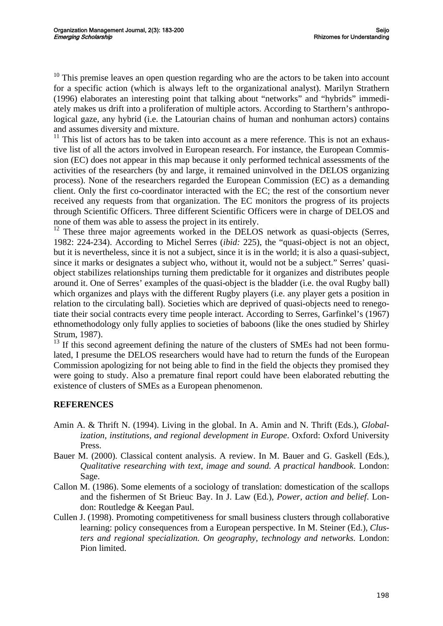$10$  This premise leaves an open question regarding who are the actors to be taken into account for a specific action (which is always left to the organizational analyst). Marilyn Strathern (1996) elaborates an interesting point that talking about "networks" and "hybrids" immediately makes us drift into a proliferation of multiple actors. According to Starthern's anthropological gaze, any hybrid (i.e. the Latourian chains of human and nonhuman actors) contains and assumes diversity and mixture.

 $11$  This list of actors has to be taken into account as a mere reference. This is not an exhaustive list of all the actors involved in European research. For instance, the European Commission (EC) does not appear in this map because it only performed technical assessments of the activities of the researchers (by and large, it remained uninvolved in the DELOS organizing process). None of the researchers regarded the European Commission (EC) as a demanding client. Only the first co-coordinator interacted with the EC; the rest of the consortium never received any requests from that organization. The EC monitors the progress of its projects through Scientific Officers. Three different Scientific Officers were in charge of DELOS and none of them was able to assess the project in its entirely.

 $12$  These three major agreements worked in the DELOS network as quasi-objects (Serres, 1982: 224-234). According to Michel Serres (*ibid:* 225), the "quasi-object is not an object, but it is nevertheless, since it is not a subject, since it is in the world; it is also a quasi-subject, since it marks or designates a subject who, without it, would not be a subject." Serres' quasiobject stabilizes relationships turning them predictable for it organizes and distributes people around it. One of Serres' examples of the quasi-object is the bladder (i.e. the oval Rugby ball) which organizes and plays with the different Rugby players (i.e. any player gets a position in relation to the circulating ball). Societies which are deprived of quasi-objects need to renegotiate their social contracts every time people interact. According to Serres, Garfinkel's (1967) ethnomethodology only fully applies to societies of baboons (like the ones studied by Shirley Strum, 1987).

<sup>13</sup> If this second agreement defining the nature of the clusters of SMEs had not been formulated, I presume the DELOS researchers would have had to return the funds of the European Commission apologizing for not being able to find in the field the objects they promised they were going to study. Also a premature final report could have been elaborated rebutting the existence of clusters of SMEs as a European phenomenon.

# **REFERENCES**

- Amin A. & Thrift N. (1994). Living in the global. In A. Amin and N. Thrift (Eds.), *Globalization, institutions, and regional development in Europe*. Oxford: Oxford University Press.
- Bauer M. (2000). Classical content analysis. A review. In M. Bauer and G. Gaskell (Eds.), *Qualitative researching with text, image and sound. A practical handbook*. London: Sage.
- Callon M. (1986). Some elements of a sociology of translation: domestication of the scallops and the fishermen of St Brieuc Bay. In J. Law (Ed.), *Power, action and belief*. London: Routledge & Keegan Paul.
- Cullen J. (1998). Promoting competitiveness for small business clusters through collaborative learning: policy consequences from a European perspective. In M. Steiner (Ed.), *Clusters and regional specialization. On geography, technology and networks*. London: Pion limited.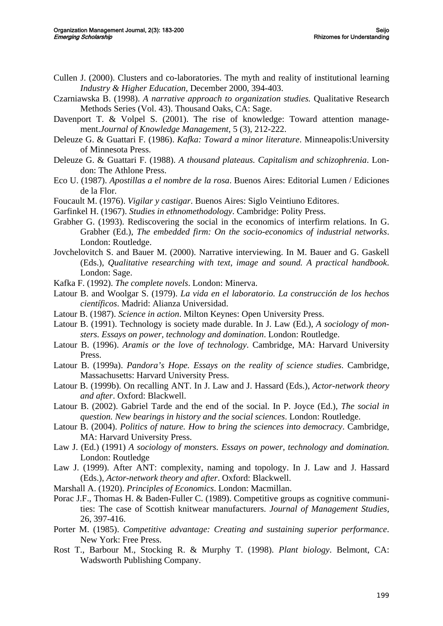- Cullen J. (2000). Clusters and co-laboratories. The myth and reality of institutional learning *Industry & Higher Education,* December 2000, 394-403.
- Czarniawska B. (1998). *A narrative approach to organization studies.* Qualitative Research Methods Series (Vol. 43). Thousand Oaks, CA: Sage.
- Davenport T. & Volpel S. (2001). The rise of knowledge: Toward attention management.*Journal of Knowledge Management,* 5 (3), 212-222.
- Deleuze G. & Guattari F. (1986). *Kafka: Toward a minor literature*. Minneapolis:University of Minnesota Press.
- Deleuze G. & Guattari F. (1988). *A thousand plateaus. Capitalism and schizophrenia*. London: The Athlone Press.
- Eco U. (1987). *Apostillas a el nombre de la rosa*. Buenos Aires: Editorial Lumen / Ediciones de la Flor.
- Foucault M. (1976). *Vigilar y castigar*. Buenos Aires: Siglo Veintiuno Editores.
- Garfinkel H. (1967). *Studies in ethnomethodology*. Cambridge: Polity Press.
- Grabher G. (1993). Rediscovering the social in the economics of interfirm relations. In G. Grabher (Ed.), *The embedded firm: On the socio-economics of industrial networks*. London: Routledge.
- Jovchelovitch S. and Bauer M. (2000). Narrative interviewing. In M. Bauer and G. Gaskell (Eds.), *Qualitative researching with text, image and sound. A practical handbook*. London: Sage.
- Kafka F. (1992). *The complete novels*. London: Minerva.
- Latour B. and Woolgar S. (1979). *La vida en el laboratorio. La construcción de los hechos científicos*. Madrid: Alianza Universidad.
- Latour B. (1987). *Science in action*. Milton Keynes: Open University Press.
- Latour B. (1991). Technology is society made durable. In J. Law (Ed.), *A sociology of monsters. Essays on power, technology and domination*. London: Routledge.
- Latour B. (1996). *Aramis or the love of technology*. Cambridge, MA: Harvard University Press.
- Latour B. (1999a). *Pandora's Hope. Essays on the reality of science studies*. Cambridge, Massachusetts: Harvard University Press.
- Latour B. (1999b). On recalling ANT. In J. Law and J. Hassard (Eds.), *Actor-network theory and after*. Oxford: Blackwell.
- Latour B. (2002). Gabriel Tarde and the end of the social. In P. Joyce (Ed.), *The social in question. New bearings in history and the social sciences*. London: Routledge.
- Latour B. (2004). *Politics of nature. How to bring the sciences into democracy*. Cambridge, MA: Harvard University Press.
- Law J. (Ed.) (1991) *A sociology of monsters. Essays on power, technology and domination.*  London: Routledge
- Law J. (1999). After ANT: complexity, naming and topology. In J. Law and J. Hassard (Eds.), *Actor-network theory and after*. Oxford: Blackwell.
- Marshall A. (1920). *Principles of Economics*. London: Macmillan.
- Porac J.F., Thomas H. & Baden-Fuller C. (1989). Competitive groups as cognitive communities: The case of Scottish knitwear manufacturers. *Journal of Management Studies,*  26, 397-416.
- Porter M. (1985). *Competitive advantage: Creating and sustaining superior performance*. New York: Free Press.
- Rost T., Barbour M., Stocking R. & Murphy T. (1998). *Plant biology*. Belmont, CA: Wadsworth Publishing Company.